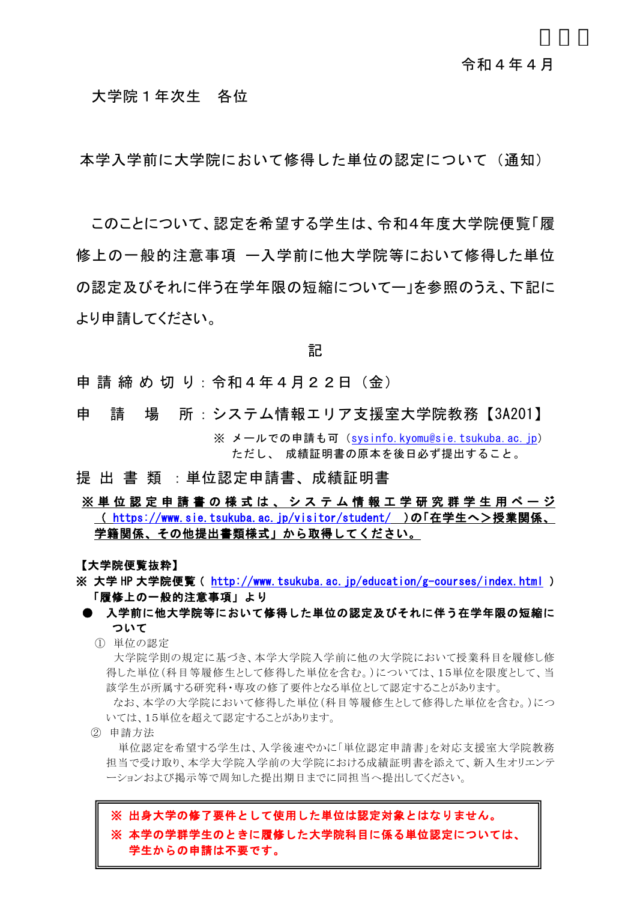### 大学院1年次生 各位

本学入学前に大学院において修得した単位の認定について(通知)

このことについて、認定を希望する学生は、令和4年度大学院便覧「履 修上の一般的注意事項 ー入学前に他大学院等において修得した単位 の認定及びそれに伴う在学年限の短縮についてー」を参照のうえ、下記に より申請してください。

記

申請締め切り:令和4年4月22日 (金)

- 申 請 場 所:システム情報エリア支援室大学院教務【3A201】 ※ メールでの申請も可 ([sysinfo.kyomu@sie.tsukuba.ac.jp](mailto:sysinfo.kyomu@sie.tsukuba.ac.jp)) ただし、 成績証明書の原本を後日必ず提出すること。
- 提 出 書 類 :単位認定申請書、成績証明書
- ※単位認定申請書の様式は、システム情報工学研究群学生用ページ (<https://www.sie.tsukuba.ac.jp/visitor/student/>)の「在学生へ>授業関係、 学籍関係、その他提出書類様式」から取得してください。

【大学院便覧抜粋】

- ※ 大学 HP 大学院便覧 (<http://www.tsukuba.ac.jp/education/g-courses/index.html>) 「履修上の一般的注意事項」より
- 入学前に他大学院等において修得した単位の認定及びそれに伴う在学年限の短縮に ついて
	- ① 単位の認定

大学院学則の規定に基づき、本学大学院入学前に他の大学院において授業科目を履修し修 得した単位(科目等履修生として修得した単位を含む。)については、15単位を限度として、当 該学生が所属する研究科・専攻の修了要件となる単位として認定することがあります。

なお、本学の大学院において修得した単位(科目等履修生として修得した単位を含む。)につ いては、15単位を超えて認定することがあります。

② 申請方法

単位認定を希望する学生は、入学後速やかに「単位認定申請書」を対応支援室大学院教務 担当で受け取り、本学大学院入学前の大学院における成績証明書を添えて、新入生オリエンテ ーションおよび掲示等で周知した提出期日までに同担当へ提出してください。

# ※ 出身大学の修了要件として使用した単位は認定対象とはなりません。 ※ 本学の学群学生のときに履修した大学院科目に係る単位認定については、 学生からの申請は不要です。